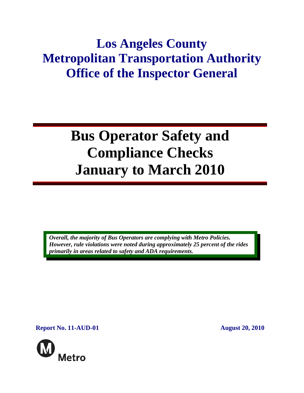# **Los Angeles County Metropolitan Transportation Authority Office of the Inspector General**

# **Bus Operator Safety and Compliance Checks January to March 2010**

*Overall, the majority of Bus Operators are complying with Metro Policies. However, rule violations were noted during approximately 25 percent of the rides primarily in areas related to safety and ADA requirements.* 

**Report No. 11-AUD-01** August 20, 2010

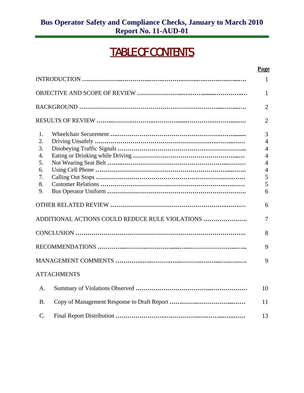## TABLE OF CONTENTS

#### **Page**

|                  |                                                 | $\mathbf{1}$   |
|------------------|-------------------------------------------------|----------------|
|                  |                                                 | $\mathbf{1}$   |
|                  |                                                 | $\overline{2}$ |
|                  |                                                 | $\overline{2}$ |
| $\mathbf{1}$ .   |                                                 | 3              |
| 2.               |                                                 | $\overline{4}$ |
| 3.               |                                                 | $\overline{4}$ |
| $\overline{4}$ . |                                                 | $\overline{4}$ |
| 5.               |                                                 | $\overline{4}$ |
| 6.               |                                                 | $\overline{4}$ |
| 7.               |                                                 | 5              |
| 8.               |                                                 | 5              |
| 9.               |                                                 | 6              |
|                  |                                                 | 6              |
|                  | ADDITIONAL ACTIONS COULD REDUCE RULE VIOLATIONS | $\overline{7}$ |
|                  |                                                 | 8              |
|                  |                                                 | 9              |
|                  |                                                 | 9              |
|                  | <b>ATTACHMENTS</b>                              |                |
| A.               |                                                 | 10             |
| <b>B.</b>        |                                                 | 11             |
| $\mathcal{C}$ .  |                                                 | 13             |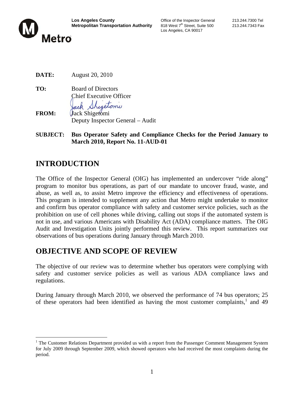

Los Angeles, CA 90017

**DATE:** August 20, 2010

**TO:** Board of Directors Chief Executive Officer Sheetony

**FROM:** Jack Shigetomi Deputy Inspector General – Audit

**SUBJECT: Bus Operator Safety and Compliance Checks for the Period January to March 2010, Report No. 11-AUD-01**

## **INTRODUCTION**

The Office of the Inspector General (OIG) has implemented an undercover "ride along" program to monitor bus operations, as part of our mandate to uncover fraud, waste, and abuse, as well as, to assist Metro improve the efficiency and effectiveness of operations. This program is intended to supplement any action that Metro might undertake to monitor and confirm bus operator compliance with safety and customer service policies, such as the prohibition on use of cell phones while driving, calling out stops if the automated system is not in use, and various Americans with Disability Act (ADA) compliance matters. The OIG Audit and Investigation Units jointly performed this review. This report summarizes our observations of bus operations during January through March 2010.

## **OBJECTIVE AND SCOPE OF REVIEW**

The objective of our review was to determine whether bus operators were complying with safety and customer service policies as well as various ADA compliance laws and regulations.

During January through March 2010, we observed the performance of 74 bus operators; 25 of these operators had been identified as having the most customer complaints,<sup>1</sup> and 49

<sup>&</sup>lt;sup>1</sup> The Customer Relations Department provided us with a report from the Passenger Comment Management System for July 2009 through September 2009, which showed operators who had received the most complaints during the period.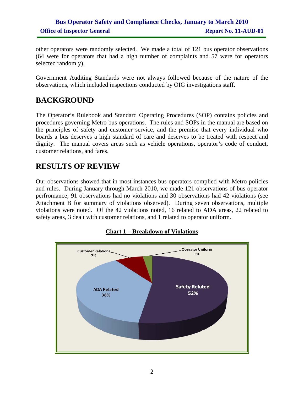### **Bus Operator Safety and Compliance Checks, January to March 2010 Office of Inspector General Report No. 11-AUD-01**

other operators were randomly selected. We made a total of 121 bus operator observations (64 were for operators that had a high number of complaints and 57 were for operators selected randomly).

Government Auditing Standards were not always followed because of the nature of the observations, which included inspections conducted by OIG investigations staff.

## **BACKGROUND**

The Operator's Rulebook and Standard Operating Procedures (SOP) contains policies and procedures governing Metro bus operations. The rules and SOPs in the manual are based on the principles of safety and customer service, and the premise that every individual who boards a bus deserves a high standard of care and deserves to be treated with respect and dignity. The manual covers areas such as vehicle operations, operator's code of conduct, customer relations, and fares.

## **RESULTS OF REVIEW**

Our observations showed that in most instances bus operators complied with Metro policies and rules. During January through March 2010, we made 121 observations of bus operator perfromance; 91 observations had no violations and 30 observations had 42 violations (see Attachment B for summary of violations observed). During seven observations, multiple violations were noted. Of the 42 violations noted, 16 related to ADA areas, 22 related to safety areas, 3 dealt with customer relations, and 1 related to operator uniform.



#### **Chart 1 – Breakdown of Violations**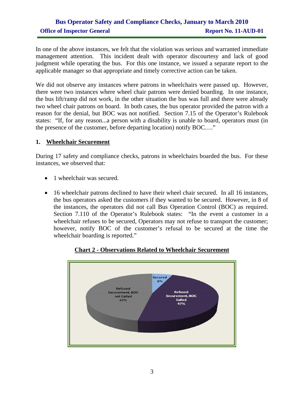### **Bus Operator Safety and Compliance Checks, January to March 2010 Office of Inspector General Report No. 11-AUD-01**

In one of the above instances, we felt that the violation was serious and warranted immediate management attention. This incident dealt with operator discourtesy and lack of good judgment while operating the bus. For this one instance, we issued a separate report to the applicable manager so that appropriate and timely corrective action can be taken.

We did not observe any instances where patrons in wheelchairs were passed up. However, there were two instances where wheel chair patrons were denied boarding. In one instance, the bus lift/ramp did not work, in the other situation the bus was full and there were already two wheel chair patrons on board. In both cases, the bus operator provided the patron with a reason for the denial, but BOC was not notified. Section 7.15 of the Operator's Rulebook states: "If, for any reason...a person with a disability is unable to board, operators must (in the presence of the customer, before departing location) notify BOC…."

#### **1. Wheelchair Securement**

During 17 safety and compliance checks, patrons in wheelchairs boarded the bus. For these instances, we observed that:

- 1 wheelchair was secured.
- 16 wheelchair patrons declined to have their wheel chair secured. In all 16 instances, the bus operators asked the customers if they wanted to be secured. However, in 8 of the instances, the operators did not call Bus Operation Control (BOC) as required. Section 7.110 of the Operator's Rulebook states: "In the event a customer in a wheelchair refuses to be secured, Operators may not refuse to transport the customer; however, notify BOC of the customer's refusal to be secured at the time the wheelchair boarding is reported."



#### **Chart 2 - Observations Related to Wheelchair Securement**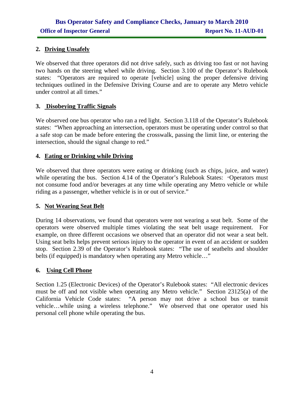#### **2. Driving Unsafely**

We observed that three operators did not drive safely, such as driving too fast or not having two hands on the steering wheel while driving. Section 3.100 of the Operator's Rulebook states: "Operators are required to operate [vehicle] using the proper defensive driving techniques outlined in the Defensive Driving Course and are to operate any Metro vehicle under control at all times."

#### **3. Disobeying Traffic Signals**

We observed one bus operator who ran a red light. Section 3.118 of the Operator's Rulebook states: "When approaching an intersection, operators must be operating under control so that a safe stop can be made before entering the crosswalk, passing the limit line, or entering the intersection, should the signal change to red."

#### **4. Eating or Drinking while Driving**

We observed that three operators were eating or drinking (such as chips, juice, and water) while operating the bus. Section 4.14 of the Operator's Rulebook States: "Operators must not consume food and/or beverages at any time while operating any Metro vehicle or while riding as a passenger, whether vehicle is in or out of service."

#### **5. Not Wearing Seat Belt**

During 14 observations, we found that operators were not wearing a seat belt. Some of the operators were observed multiple times violating the seat belt usage requirement. For example, on three different occasions we observed that an operator did not wear a seat belt. Using seat belts helps prevent serious injury to the operator in event of an accident or sudden stop. Section 2.39 of the Operator's Rulebook states: "The use of seatbelts and shoulder belts (if equipped) is mandatory when operating any Metro vehicle..."

#### **6. Using Cell Phone**

Section 1.25 (Electronic Devices) of the Operator's Rulebook states: "All electronic devices must be off and not visible when operating any Metro vehicle." Section 23125(a) of the California Vehicle Code states: "A person may not drive a school bus or transit vehicle…while using a wireless telephone." We observed that one operator used his personal cell phone while operating the bus.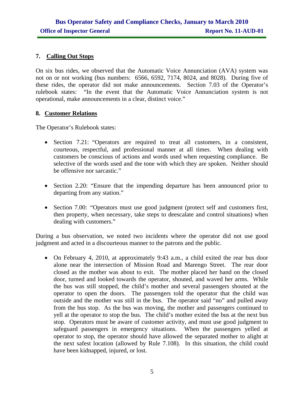#### **7. Calling Out Stops**

On six bus rides, we observed that the Automatic Voice Annunciation (AVA) system was not on or not working (bus numbers: 6566, 6592, 7174, 8024, and 8028). During five of these rides, the operator did not make announcements. Section 7.03 of the Operator's rulebook states: "In the event that the Automatic Voice Annunciation system is not operational, make announcements in a clear, distinct voice."

#### **8. Customer Relations**

The Operator's Rulebook states:

- Section 7.21: "Operators are required to treat all customers, in a consistent, courteous, respectful, and professional manner at all times. When dealing with customers be conscious of actions and words used when requesting compliance. Be selective of the words used and the tone with which they are spoken. Neither should be offensive nor sarcastic."
- Section 2.20: "Ensure that the impending departure has been announced prior to departing from any station."
- Section 7.00: "Operators must use good judgment (protect self and customers first, then property, when necessary, take steps to deescalate and control situations) when dealing with customers."

During a bus observation, we noted two incidents where the operator did not use good judgment and acted in a discourteous manner to the patrons and the public.

• On February 4, 2010, at approximately 9:43 a.m., a child exited the rear bus door alone near the intersection of Mission Road and Marengo Street. The rear door closed as the mother was about to exit. The mother placed her hand on the closed door, turned and looked towards the operator, shouted, and waved her arms. While the bus was still stopped, the child's mother and several passengers shouted at the operator to open the doors. The passengers told the operator that the child was outside and the mother was still in the bus. The operator said "no" and pulled away from the bus stop. As the bus was moving, the mother and passengers continued to yell at the operator to stop the bus. The child's mother exited the bus at the next bus stop. Operators must be aware of customer activity, and must use good judgment to safeguard passengers in emergency situations. When the passengers yelled at operator to stop, the operator should have allowed the separated mother to alight at the next safest location (allowed by Rule 7.108). In this situation, the child could have been kidnapped, injured, or lost.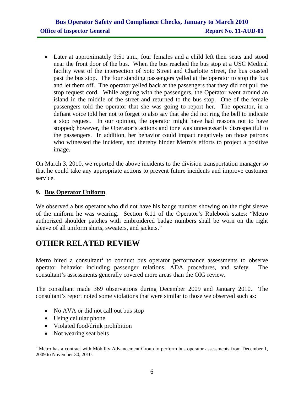Later at approximately 9:51 a.m., four females and a child left their seats and stood near the front door of the bus. When the bus reached the bus stop at a USC Medical facility west of the intersection of Soto Street and Charlotte Street, the bus coasted past the bus stop. The four standing passengers yelled at the operator to stop the bus and let them off. The operator yelled back at the passengers that they did not pull the stop request cord. While arguing with the passengers, the Operator went around an island in the middle of the street and returned to the bus stop. One of the female passengers told the operator that she was going to report her. The operator, in a defiant voice told her not to forget to also say that she did not ring the bell to indicate a stop request. In our opinion, the operator might have had reasons not to have stopped; however, the Operator's actions and tone was unnecessarily disrespectful to the passengers. In addition, her behavior could impact negatively on those patrons who witnessed the incident, and thereby hinder Metro's efforts to project a positive image.

On March 3, 2010, we reported the above incidents to the division transportation manager so that he could take any appropriate actions to prevent future incidents and improve customer service.

#### **9. Bus Operator Uniform**

We observed a bus operator who did not have his badge number showing on the right sleeve of the uniform he was wearing. Section 6.11 of the Operator's Rulebook states: "Metro authorized shoulder patches with embroidered badge numbers shall be worn on the right sleeve of all uniform shirts, sweaters, and jackets."

## **OTHER RELATED REVIEW**

Metro hired a consultant<sup>2</sup> to conduct bus operator performance assessments to observe operator behavior including passenger relations, ADA procedures, and safety. The consultant's assessments generally covered more areas than the OIG review.

The consultant made 369 observations during December 2009 and January 2010. The consultant's report noted some violations that were similar to those we observed such as:

- No AVA or did not call out bus stop
- Using cellular phone
- Violated food/drink prohibition
- Not wearing seat belts

 $2^2$  Metro has a contract with Mobility Advancement Group to perform bus operator assessments from December 1, 2009 to November 30, 2010.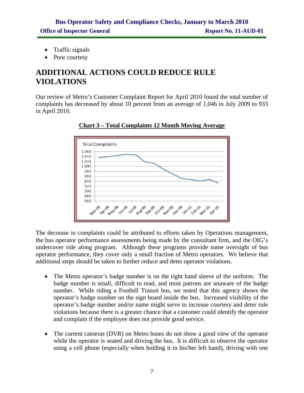- Traffic signals
- Poor courtesy

## **ADDITIONAL ACTIONS COULD REDUCE RULE VIOLATIONS**

Our review of Metro's Customer Complaint Report for April 2010 found the total number of complaints has decreased by about 10 percent from an average of 1,046 in July 2009 to 933 in April 2010.



**Chart 3 – Total Complaints 12 Month Moving Average**

The decrease in complaints could be attributed to efforts taken by Operations management, the bus operator performance assessments being made by the consultant firm, and the OIG's undercover ride along program. Although these programs provide some oversight of bus operator performance, they cover only a small fraction of Metro operators. We believe that additional steps should be taken to further reduce and deter operator violations.

- The Metro operator's badge number is on the right hand sleeve of the uniform. The badge number is small, difficult to read, and most patrons are unaware of the badge number. While riding a Foothill Transit bus, we noted that this agency shows the operator's badge number on the sign board inside the bus. Increased visibility of the operator's badge number and/or name might serve to increase courtesy and deter rule violations because there is a greater chance that a customer could identify the operator and complain if the employee does not provide good service.
- The current cameras (DVR) on Metro buses do not show a good view of the operator while the operator is seated and driving the bus. It is difficult to observe the operator using a cell phone (especially when holding it in his/her left hand), driving with one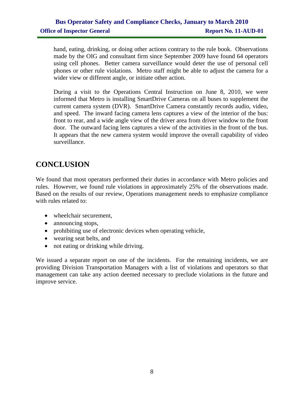hand, eating, drinking, or doing other actions contrary to the rule book. Observations made by the OIG and consultant firm since September 2009 have found 64 operators using cell phones. Better camera surveillance would deter the use of personal cell phones or other rule violations. Metro staff might be able to adjust the camera for a wider view or different angle, or initiate other action.

During a visit to the Operations Central Instruction on June 8, 2010, we were informed that Metro is installing SmartDrive Cameras on all buses to supplement the current camera system (DVR). SmartDrive Camera constantly records audio, video, and speed. The inward facing camera lens captures a view of the interior of the bus: front to rear, and a wide angle view of the driver area from driver window to the front door. The outward facing lens captures a view of the activities in the front of the bus. It appears that the new camera system would improve the overall capability of video surveillance.

## **CONCLUSION**

We found that most operators performed their duties in accordance with Metro policies and rules. However, we found rule violations in approximately 25% of the observations made. Based on the results of our review, Operations management needs to emphasize compliance with rules related to:

- wheelchair securement,
- announcing stops,
- prohibiting use of electronic devices when operating vehicle,
- wearing seat belts, and
- not eating or drinking while driving.

We issued a separate report on one of the incidents. For the remaining incidents, we are providing Division Transportation Managers with a list of violations and operators so that management can take any action deemed necessary to preclude violations in the future and improve service.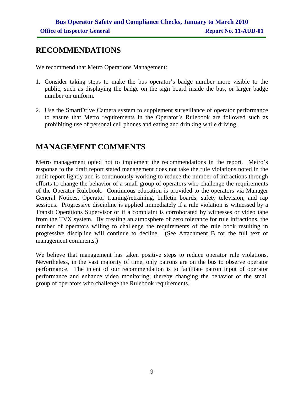## **RECOMMENDATIONS**

We recommend that Metro Operations Management:

- 1. Consider taking steps to make the bus operator's badge number more visible to the public, such as displaying the badge on the sign board inside the bus, or larger badge number on uniform.
- 2. Use the SmartDrive Camera system to supplement surveillance of operator performance to ensure that Metro requirements in the Operator's Rulebook are followed such as prohibiting use of personal cell phones and eating and drinking while driving.

## **MANAGEMENT COMMENTS**

Metro management opted not to implement the recommendations in the report. Metro's response to the draft report stated management does not take the rule violations noted in the audit report lightly and is continuously working to reduce the number of infractions through efforts to change the behavior of a small group of operators who challenge the requirements of the Operator Rulebook. Continuous education is provided to the operators via Manager General Notices, Operator training/retraining, bulletin boards, safety television, and rap sessions. Progressive discipline is applied immediately if a rule violation is witnessed by a Transit Operations Supervisor or if a complaint is corroborated by witnesses or video tape from the TVX system. By creating an atmosphere of zero tolerance for rule infractions, the number of operators willing to challenge the requirements of the rule book resulting in progressive discipline will continue to decline. (See Attachment B for the full text of management comments.)

We believe that management has taken positive steps to reduce operator rule violations. Nevertheless, in the vast majority of time, only patrons are on the bus to observe operator performance. The intent of our recommendation is to facilitate patron input of operator performance and enhance video monitoring; thereby changing the behavior of the small group of operators who challenge the Rulebook requirements.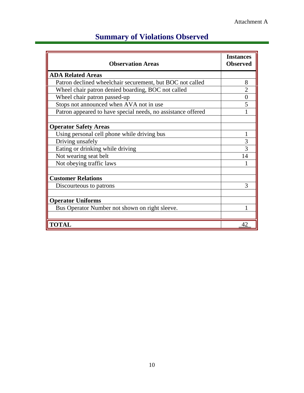| <b>Observation Areas</b>                                     | <b>Instances</b><br><b>Observed</b> |
|--------------------------------------------------------------|-------------------------------------|
| <b>ADA Related Areas</b>                                     |                                     |
| Patron declined wheelchair securement, but BOC not called    | 8                                   |
| Wheel chair patron denied boarding, BOC not called           | $\overline{2}$                      |
| Wheel chair patron passed-up                                 | $\theta$                            |
| Stops not announced when AVA not in use                      | 5                                   |
| Patron appeared to have special needs, no assistance offered |                                     |
|                                                              |                                     |
| <b>Operator Safety Areas</b>                                 |                                     |
| Using personal cell phone while driving bus                  |                                     |
| Driving unsafely                                             | 3                                   |
| Eating or drinking while driving                             | 3                                   |
| Not wearing seat belt                                        | 14                                  |
| Not obeying traffic laws                                     |                                     |
|                                                              |                                     |
| <b>Customer Relations</b>                                    |                                     |
| Discourteous to patrons                                      | 3                                   |
|                                                              |                                     |
| <b>Operator Uniforms</b>                                     |                                     |
| Bus Operator Number not shown on right sleeve.               |                                     |
|                                                              |                                     |
| <b>TOTAL</b>                                                 | 42                                  |

## **Summary of Violations Observed**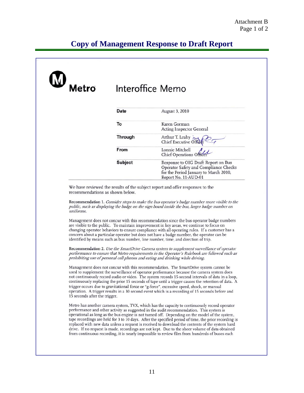## **Copy of Management Response to Draft Report**

| Metro                           | Interoffice Memo |                                                                                                                                               |  |
|---------------------------------|------------------|-----------------------------------------------------------------------------------------------------------------------------------------------|--|
|                                 | Date             | August 3, 2010                                                                                                                                |  |
|                                 | To               | Karen Gorman<br>Acting Inspector General                                                                                                      |  |
|                                 | <b>Through</b>   | Arthur T. Leahy<br>Chief Executive Office                                                                                                     |  |
|                                 | From             | Lonnie Mitchell<br>Chief Operations Officer                                                                                                   |  |
|                                 | Subject          | Response to OIG Draft Report on Bus<br>Operator Safety and Compliance Checks<br>for the Period January to March 2010,<br>Report No. 11-AUD-01 |  |
| recommendations as shown below. |                  | We have reviewed the results of the subject report and offer responses to the                                                                 |  |

Management does not concur with this recommendation since the bus operator badge numbers are visible to the public. To maintain improvement in key areas, we continue to focus on changing operator behaviors to ensure compliance with all operating rules. If a customer has a concern about a particular operator but does not have a badge number, the operator can be identified by means such as bus number, line number, time, and direction of trip.

Recommendation 2. Use the SmartDrive Camera system to supplement surveillance of operator performance to ensure that Metro requirements in the Operator's Rulebook are followed such as prohibiting use of personal cell phones and eating and drinking while driving.

Management does not concur with this recommendation. The SmartDrive system cannot be used to supplement the surveillance of operator performance because the camera system does not continuously record audio or video. The system records 15-second intervals of data in a loop, continuously replacing the prior 15 seconds of tape until a trigger causes the retention of data. A trigger occurs due to gravitational force or "g-force", excessive speed, shock, or manual operation. A trigger results in a 30 second event which is a recording of 15 seconds before and 15 seconds after the trigger.

Metro has another camera system, TVX, which has the capacity to continuously record operator performance and other activity as suggested in the audit recommendation. This system is operational as long as the bus engine is not turned off. Depending on the model of the system, tape recordings are held for 3 to 10 days. After the specified period of time, the prior recording is replaced with new data unless a request is received to download the contents of the system hard drive. If no request is made, recordings are not kept. Due to the sheer volume of data obtained from continuous recording, it is nearly impossible to review film from hundreds of buses each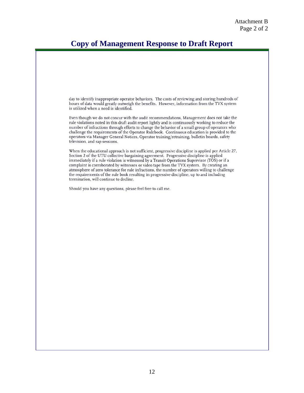## **Copy of Management Response to Draft Report**

day to identify inappropriate operator behaviors. The costs of reviewing and storing hundreds of hours of data would greatly outweigh the benefits. However, information from the TVX system is utilized when a need is identified. Even though we do not concur with the audit recommendations, Management does not take the rule violations noted in this draft audit report lightly and is continuously working to reduce the number of infractions through efforts to change the behavior of a small group of operators who challenge the requirements of the Operator Rulebook. Continuous education is provided to the operators via Manager General Notices, Operator training/retraining, bulletin boards, safety television, and rap sessions. When the educational approach is not sufficient, progressive discipline is applied per Article 27, Section 2 of the UTU collective bargaining agreement. Progressive discipline is applied immediately if a rule violation is witnessed by a Transit Operations Supervisor (TOS) or if a complaint is corroborated by witnesses or video tape from the TVX system. By creating an atmosphere of zero tolerance for rule infractions, the number of operators willing to challenge the requirements of the rule book resulting in progressive discipline, up to and including termination, will continue to decline. Should you have any questions, please feel free to call me.